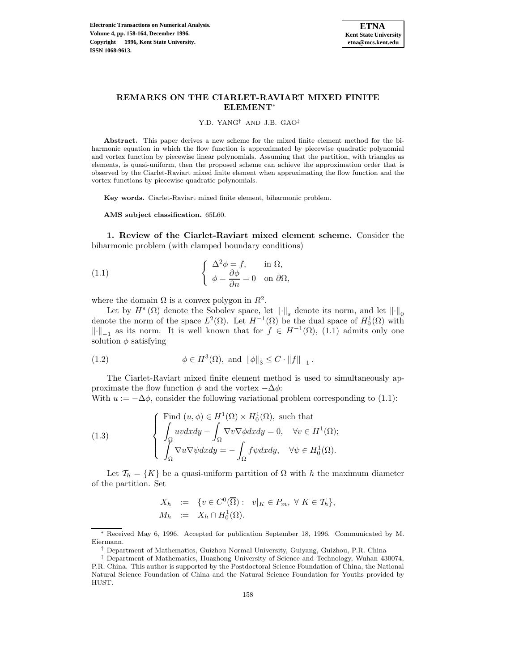

# **REMARKS ON THE CIARLET-RAVIART MIXED FINITE ELEMENT**<sup>∗</sup>

Y.D. YANG† AND J.B. GAO‡

**Abstract.** This paper derives a new scheme for the mixed finite element method for the biharmonic equation in which the flow function is approximated by piecewise quadratic polynomial and vortex function by piecewise linear polynomials. Assuming that the partition, with triangles as elements, is quasi-uniform, then the proposed scheme can achieve the approximation order that is observed by the Ciarlet-Raviart mixed finite element when approximating the flow function and the vortex functions by piecewise quadratic polynomials.

**Key words.** Ciarlet-Raviart mixed finite element, biharmonic problem.

**AMS subject classification.** 65L60.

**1. Review of the Ciarlet-Raviart mixed element scheme.** Consider the biharmonic problem (with clamped boundary conditions)

(1.1) 
$$
\begin{cases} \Delta^2 \phi = f, & \text{in } \Omega, \\ \phi = \frac{\partial \phi}{\partial n} = 0 & \text{on } \partial \Omega, \end{cases}
$$

where the domain  $\Omega$  is a convex polygon in  $\mathbb{R}^2$ .

Let by  $H^s(\Omega)$  denote the Sobolev space, let  $\|\cdot\|_s$  denote its norm, and let  $\|\cdot\|_0$ denote the norm of the space  $L^2(\Omega)$ . Let  $H^{-1}(\Omega)$  be the dual space of  $H_0^1(\Omega)$  with  $\|\cdot\|_{-1}$  as its norm. It is well known that for  $f \in H^{-1}(\Omega)$ , (1.1) admits only one solution  $\phi$  satisfying

(1.2) 
$$
\phi \in H^{3}(\Omega), \text{ and } \|\phi\|_{3} \leq C \cdot \|f\|_{-1}.
$$

The Ciarlet-Raviart mixed finite element method is used to simultaneously approximate the flow function  $\phi$  and the vortex  $-\Delta\phi$ :

With  $u := -\Delta \phi$ , consider the following variational problem corresponding to (1.1):

(1.3) 
$$
\begin{cases}\n\text{Find } (u, \phi) \in H^1(\Omega) \times H_0^1(\Omega), \text{ such that} \\
\int_{\Omega} uv dx dy - \int_{\Omega} \nabla v \nabla \phi dx dy = 0, \quad \forall v \in H^1(\Omega); \\
\int_{\Omega} \nabla u \nabla \psi dx dy = - \int_{\Omega} f \psi dx dy, \quad \forall \psi \in H_0^1(\Omega).\n\end{cases}
$$

Let  $\mathcal{T}_h = \{K\}$  be a quasi-uniform partition of  $\Omega$  with h the maximum diameter of the partition. Set

$$
X_h := \{ v \in C^0(\overline{\Omega}) : v|_K \in P_m, \forall K \in \mathcal{T}_h \},
$$
  

$$
M_h := X_h \cap H_0^1(\Omega).
$$

Received May 6, 1996. Accepted for publication September 18, 1996. Communicated by M. Eiermann.

<sup>†</sup> Department of Mathematics, Guizhou Normal University, Guiyang, Guizhou, P.R. China

<sup>‡</sup> Department of Mathematics, Huazhong University of Science and Technology, Wuhan 430074, P.R. China. This author is supported by the Postdoctoral Science Foundation of China, the National Natural Science Foundation of China and the Natural Science Foundation for Youths provided by HUST.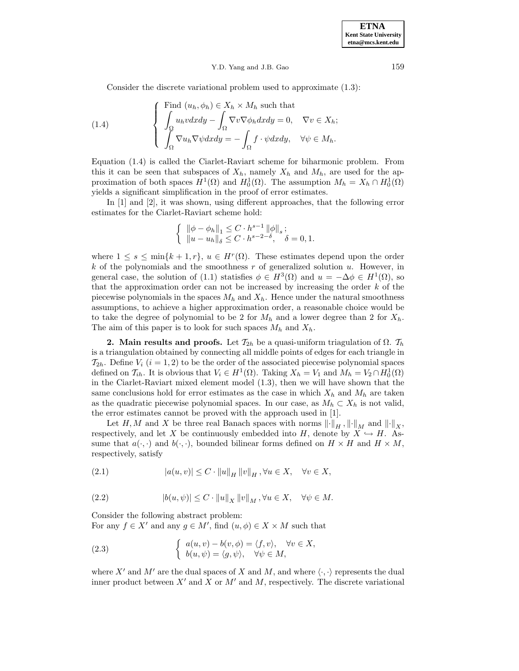## Y.D. Yang and J.B. Gao 159

Consider the discrete variational problem used to approximate (1.3):

(1.4) 
$$
\begin{cases}\n\text{Find } (u_h, \phi_h) \in X_h \times M_h \text{ such that} \\
\int_{\Omega} u_h v dx dy - \int_{\Omega} \nabla v \nabla \phi_h dx dy = 0, \quad \nabla v \in X_h; \\
\int_{\Omega} \nabla u_h \nabla \psi dx dy = - \int_{\Omega} f \cdot \psi dx dy, \quad \forall \psi \in M_h.\n\end{cases}
$$

Equation (1.4) is called the Ciarlet-Raviart scheme for biharmonic problem. From this it can be seen that subspaces of  $X_h$ , namely  $X_h$  and  $M_h$ , are used for the approximation of both spaces  $H^1(\Omega)$  and  $H_0^1(\Omega)$ . The assumption  $M_h = X_h \cap H_0^1(\Omega)$ yields a significant simplification in the proof of error estimates.

In [1] and [2], it was shown, using different approaches, that the following error estimates for the Ciarlet-Raviart scheme hold:

$$
\left\{\begin{array}{l} \|\phi-\phi_h\|_1\leq C\cdot h^{s-1}\,\|\phi\|_s\,; \\ \|u-u_h\|_\delta\leq C\cdot h^{s-2-\delta}, \quad \delta=0,1. \end{array}\right.
$$

where  $1 \leq s \leq \min\{k+1,r\}, u \in H^r(\Omega)$ . These estimates depend upon the order  $k$  of the polynomials and the smoothness  $r$  of generalized solution  $u$ . However, in general case, the solution of (1.1) statisfies  $\phi \in H^3(\Omega)$  and  $u = -\Delta \phi \in H^1(\Omega)$ , so that the approximation order can not be increased by increasing the order  $k$  of the piecewise polynomials in the spaces  $M_h$  and  $X_h$ . Hence under the natural smoothness assumptions, to achieve a higher approximation order, a reasonable choice would be to take the degree of polynomial to be 2 for  $M_h$  and a lower degree than 2 for  $X_h$ . The aim of this paper is to look for such spaces  $M_h$  and  $X_h$ .

**2. Main results and proofs.** Let  $\mathcal{T}_{2h}$  be a quasi-uniform triagulation of  $\Omega$ .  $\mathcal{T}_h$ is a triangulation obtained by connecting all middle points of edges for each triangle in  $\mathcal{T}_{2h}$ . Define  $V_i$   $(i = 1, 2)$  to be the order of the associated piecewise polynomial spaces defined on  $\mathcal{T}_{ih}$ . It is obvious that  $V_i \in H^1(\Omega)$ . Taking  $X_h = V_1$  and  $M_h = V_2 \cap H_0^1(\Omega)$ in the Ciarlet-Raviart mixed element model (1.3), then we will have shown that the same conclusions hold for error estimates as the case in which  $X_h$  and  $M_h$  are taken as the quadratic piecewise polynomial spaces. In our case, as  $M_h \subset X_h$  is not valid, the error estimates cannot be proved with the approach used in [1].

Let H, M and X be three real Banach spaces with norms  $\|\cdot\|_H$ ,  $\|\cdot\|_M$  and  $\|\cdot\|_X$ , respectively, and let X be continuously embedded into H, denote by  $X \hookrightarrow H$ . Assume that  $a(\cdot, \cdot)$  and  $b(\cdot, \cdot)$ , bounded bilinear forms defined on  $H \times H$  and  $H \times M$ , respectively, satisfy

(2.1) 
$$
|a(u,v)| \leq C \cdot ||u||_H ||v||_H, \forall u \in X, \quad \forall v \in X,
$$

(2.2) 
$$
|b(u,\psi)| \leq C \cdot ||u||_X ||v||_M, \forall u \in X, \quad \forall \psi \in M.
$$

Consider the following abstract problem:

For any  $f \in X'$  and any  $g \in M'$ , find  $(u, \phi) \in X \times M$  such that

(2.3) 
$$
\begin{cases} a(u,v) - b(v,\phi) = \langle f, v \rangle, & \forall v \in X, \\ b(u,\psi) = \langle g, \psi \rangle, & \forall \psi \in M, \end{cases}
$$

where X' and M' are the dual spaces of X and M, and where  $\langle \cdot, \cdot \rangle$  represents the dual inner product between  $X'$  and  $X$  or  $M'$  and  $M$ , respectively. The discrete variational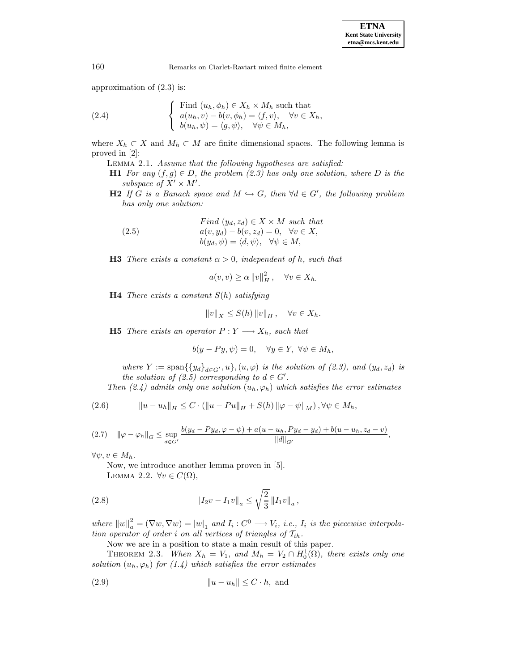160 Remarks on Ciarlet-Raviart mixed finite element

approximation of (2.3) is:

(2.4) 
$$
\begin{cases}\n\text{Find } (u_h, \phi_h) \in X_h \times M_h \text{ such that} \\
a(u_h, v) - b(v, \phi_h) = \langle f, v \rangle, \quad \forall v \in X_h, \\
b(u_h, \psi) = \langle g, \psi \rangle, \quad \forall \psi \in M_h,\n\end{cases}
$$

where  $X_h \subset X$  and  $M_h \subset M$  are finite dimensional spaces. The following lemma is proved in [2]:

Lemma 2.1. Assume that the following hypotheses are satisfied:

**H1** For any  $(f,g) \in D$ , the problem  $(2.3)$  has only one solution, where D is the subspace of  $X' \times M'$ .

**H2** If G is a Banach space and  $M \hookrightarrow G$ , then  $\forall d \in G'$ , the following problem has only one solution:

(2.5) 
$$
Find (y_d, z_d) \in X \times M \text{ such that} a(v, y_d) - b(v, z_d) = 0, \quad \forall v \in X, b(y_d, \psi) = \langle d, \psi \rangle, \quad \forall \psi \in M,
$$

**H3** There exists a constant  $\alpha > 0$ , independent of h, such that

$$
a(v, v) \ge \alpha ||v||_H^2, \quad \forall v \in X_h.
$$

**H4** There exists a constant  $S(h)$  satisfying

$$
||v||_X \le S(h) ||v||_H, \quad \forall v \in X_h.
$$

**H5** There exists an operator  $P: Y \longrightarrow X_h$ , such that

$$
b(y - Py, \psi) = 0, \quad \forall y \in Y, \ \forall \psi \in M_h,
$$

where  $Y := \text{span}\{\{y_d\}_{d \in G'}, u\}, (u, \varphi)$  is the solution of (2.3), and  $(y_d, z_d)$  is the solution of (2.5) corresponding to  $d \in G'$ .

Then (2.4) admits only one solution  $(u_h, \varphi_h)$  which satisfies the error estimates

(2.6) 
$$
\|u - u_h\|_H \leq C \cdot (\|u - Pu\|_H + S(h) \|\varphi - \psi\|_M), \forall \psi \in M_h,
$$

$$
(2.7) \quad \|\varphi - \varphi_h\|_G \leq \sup_{d \in G'} \frac{b(y_d - Py_d, \varphi - \psi) + a(u - u_h, Py_d - y_d) + b(u - u_h, z_d - v)}{\|d\|_{G'}},
$$

 $\forall \psi, v \in M_h.$ 

Now, we introduce another lemma proven in [5]. LEMMA 2.2.  $\forall v \in C(\Omega)$ ,

(2.8) 
$$
\|I_2v - I_1v\|_a \le \sqrt{\frac{2}{3}}\|I_1v\|_a,
$$

where  $||w||_a^2 = (\nabla w, \nabla w) = |w|_1$  and  $I_i : C^0 \longrightarrow V_i$ , i.e.,  $I_i$  is the piecewise interpolation operator of order i on all vertices of triangles of  $\mathcal{T}_{ih}$ .

Now we are in a position to state a main result of this paper.

THEOREM 2.3. When  $X_h = V_1$ , and  $M_h = V_2 \cap H_0^1(\Omega)$ , there exists only one solution  $(u_h, \varphi_h)$  for  $(1.4)$  which satisfies the error estimates

(2.9) ku − uhk ≤ C · h, and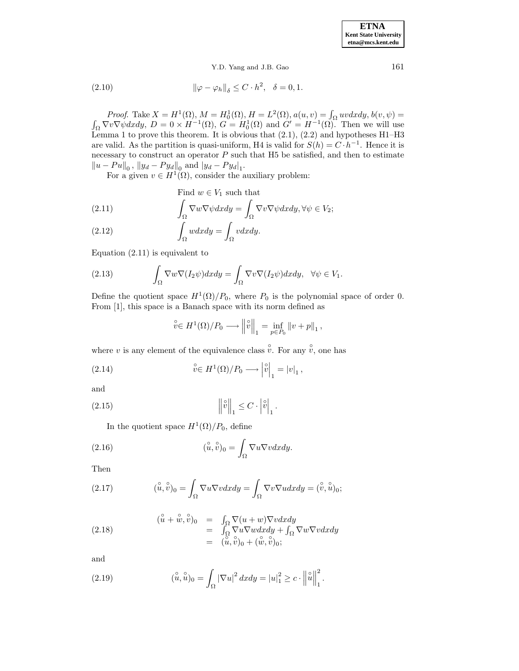**ETNA Kent State University etna@mcs.kent.edu**

Y.D. Yang and J.B. Gao 161

(2.10) 
$$
\|\varphi - \varphi_h\|_{\delta} \leq C \cdot h^2, \quad \delta = 0, 1.
$$

Proof. Take  $X = H^1(\Omega)$ ,  $M = H_0^1(\Omega)$ ,  $H = L^2(\Omega)$ ,  $a(u, v) = \int_{\Omega} uv dx dy$ ,  $b(v, \psi) = \int_{\Omega} \nabla v \nabla \psi dx dy$ ,  $D = 0 \times H^{-1}(\Omega)$ ,  $G = H_0^1(\Omega)$  and  $G' = H^{-1}(\Omega)$ . Then we will use Lemma 1 to prove this theorem. It is obvious that  $(2.1)$ ,  $(2.2)$  and hypotheses H1–H3 are valid. As the partition is quasi-uniform, H4 is valid for  $S(h) = C \cdot h^{-1}$ . Hence it is necessary to construct an operator  $P$  such that  $H5$  be satisfied, and then to estimate  $||u - Pu||_0$ ,  $||y_d - Py_d||_0$  and  $|y_d - Py_d|_1$ .

For a given  $v \in H^1(\Omega)$ , consider the auxiliary problem:

(2.11) Find 
$$
w \in V_1
$$
 such that  
\n
$$
\int_{\Omega} \nabla w \nabla \psi dx dy = \int_{\Omega} \nabla v \nabla \psi dx dy, \forall \psi \in V_2;
$$

(2.12) 
$$
\int_{\Omega} w dx dy = \int_{\Omega} v dx dy.
$$

Equation (2.11) is equivalent to

(2.13) 
$$
\int_{\Omega} \nabla w \nabla (I_2 \psi) dx dy = \int_{\Omega} \nabla v \nabla (I_2 \psi) dx dy, \quad \forall \psi \in V_1.
$$

Define the quotient space  $H^1(\Omega)/P_0$ , where  $P_0$  is the polynomial space of order 0. From [1], this space is a Banach space with its norm defined as

$$
\stackrel{\circ}{v} \in H^1(\Omega)/P_0 \longrightarrow \left\| \stackrel{\circ}{v} \right\|_1 = \inf_{p \in P_0} \left\| v + p \right\|_1,
$$

where v is any element of the equivalence class  $\hat{v}$ . For any  $\hat{v}$ , one has

(2.14) 
$$
\stackrel{\circ}{v} \in H^1(\Omega)/P_0 \longrightarrow \left| \stackrel{\circ}{v} \right|_1 = |v|_1,
$$

and

$$
(2.15) \t\t \t\t ||\hat{v}||_1 \leq C \cdot |\hat{v}|_1.
$$

In the quotient space  $H^1(\Omega)/P_0$ , define

(2.16) 
$$
(\stackrel{\circ}{u},\stackrel{\circ}{v})_0 = \int_{\Omega} \nabla u \nabla v dx dy.
$$

Then

(2.17) 
$$
(\mathring{u}, \mathring{v})_0 = \int_{\Omega} \nabla u \nabla v dx dy = \int_{\Omega} \nabla v \nabla u dx dy = (\mathring{v}, \mathring{u})_0;
$$

(2.18) 
$$
(\hat{u} + \hat{w}, \hat{v})_0 = \int_{\Omega} \nabla(u+w) \nabla v dx dy = \int_{\Omega} \nabla u \nabla w dx dy + \int_{\Omega} \nabla w \nabla v dx dy = (\hat{u}, \hat{v})_0 + (\hat{w}, \hat{v})_0;
$$

and

(2.19) 
$$
(\mathring{u}, \mathring{u})_0 = \int_{\Omega} |\nabla u|^2 dx dy = |u|_1^2 \ge c \cdot ||\mathring{u}||_1^2.
$$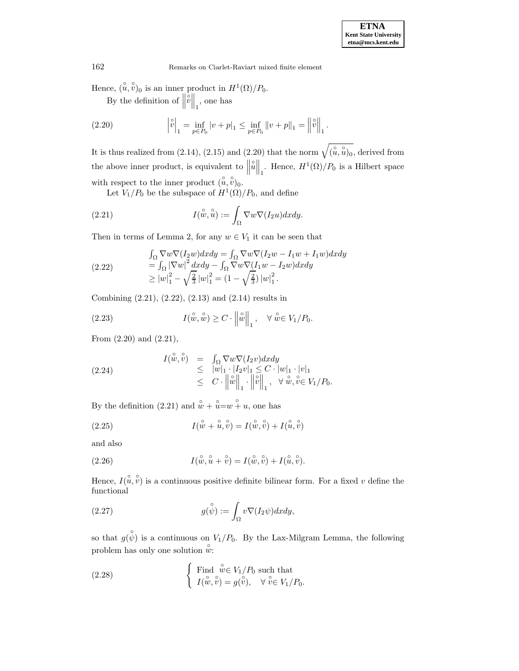162 Remarks on Ciarlet-Raviart mixed finite element

Hence,  $(\hat{u}, \hat{v})_0$  is an inner product in  $H^1(\Omega)/P_0$ .

By the definition of  $\Big\|$  $\begin{bmatrix} \dot{\mathbf{v}} \\ \mathbf{v} \end{bmatrix}$ , one has

(2.20) 
$$
\left|\hat{v}\right|_{1} = \inf_{p \in P_{0}} |v + p|_{1} \leq \inf_{p \in P_{0}} \|v + p\|_{1} = \left\|\hat{v}\right\|_{1}.
$$

It is thus realized from (2.14), (2.15) and (2.20) that the norm  $\sqrt{\hat{u}, \hat{u}\hat{u}}_0$ , derived from the above inner product, is equivalent to  $\parallel$  $\hat{u}\Big\|_1$ . Hence,  $H^1(\Omega)/P_0$  is a Hilbert space with respect to the inner product  $(\hat{u}, \hat{v})_0$ .

Let  $V_1/P_0$  be the subspace of  $H^1(\Omega)/P_0$ , and define

(2.21) 
$$
I(\overset{\circ}{w}, \overset{\circ}{u}) := \int_{\Omega} \nabla w \nabla (I_2 u) dx dy.
$$

Then in terms of Lemma 2, for any  $w \in V_1$  it can be seen that

(2.22) 
$$
\int_{\Omega} \nabla w \nabla (I_2 w) dx dy = \int_{\Omega} \nabla w \nabla (I_2 w - I_1 w + I_1 w) dx dy \n= \int_{\Omega} |\nabla w|^2 dx dy - \int_{\Omega} \nabla w \nabla (I_1 w - I_2 w) dx dy \n\ge |w|_1^2 - \sqrt{\frac{2}{3}} |w|_1^2 = (1 - \sqrt{\frac{2}{3}}) |w|_1^2.
$$

Combining (2.21), (2.22), (2.13) and (2.14) results in

(2.23) 
$$
I(\stackrel{\circ}{w}, \stackrel{\circ}{w}) \geq C \cdot \left\|\stackrel{\circ}{w}\right\|_1, \quad \forall \stackrel{\circ}{w} \in V_1/P_0.
$$

From (2.20) and (2.21),

(2.24) 
$$
I(\stackrel{\circ}{w},\stackrel{\circ}{v}) = \int_{\Omega} \nabla w \nabla (I_2 v) dx dy \n\leq |w|_1 \cdot |I_2 v|_1 \leq C \cdot |w|_1 \cdot |v|_1 \n\leq C \cdot \left\| \stackrel{\circ}{w} \right\|_1 \cdot \left\| \stackrel{\circ}{v} \right\|_1, \quad \forall \stackrel{\circ}{w}, \stackrel{\circ}{v} \in V_1/P_0.
$$

By the definition (2.21) and  $\hat{w} + \hat{u} = w + u$ , one has

(2.25) 
$$
I(\stackrel{\circ}{w} + \stackrel{\circ}{u}, \stackrel{\circ}{v}) = I(\stackrel{\circ}{w}, \stackrel{\circ}{v}) + I(\stackrel{\circ}{u}, \stackrel{\circ}{v})
$$

and also

(2.26) 
$$
I(\stackrel{\circ}{w}, \stackrel{\circ}{u} + \stackrel{\circ}{v}) = I(\stackrel{\circ}{w}, \stackrel{\circ}{v}) + I(\stackrel{\circ}{u}, \stackrel{\circ}{v}).
$$

Hence,  $I(\mathring{u}, \mathring{v})$  is a continuous positive definite bilinear form. For a fixed v define the functional

(2.27) 
$$
g(\overset{\circ}{\psi}) := \int_{\Omega} v \nabla (I_2 \psi) dx dy,
$$

so that  $g(\psi)$  is a continuous on  $V_1/P_0$ . By the Lax-Milgram Lemma, the following problem has only one solution  $\mathring{w}$ :

(2.28) 
$$
\begin{cases}\n\text{Find } \stackrel{\circ}{w} \in V_1/P_0 \text{ such that} \\
I(\stackrel{\circ}{w}, \stackrel{\circ}{v}) = g(\stackrel{\circ}{v}), \quad \forall \stackrel{\circ}{v} \in V_1/P_0.\n\end{cases}
$$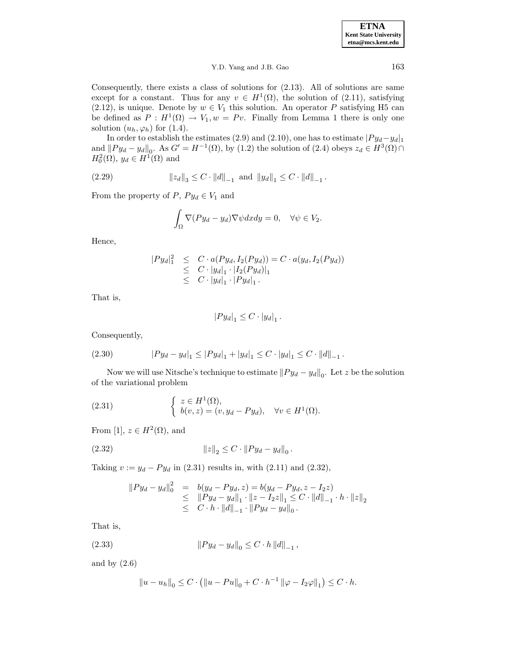**ETNA Kent State University etna@mcs.kent.edu**

## Y.D. Yang and J.B. Gao 163

Consequently, there exists a class of solutions for (2.13). All of solutions are same except for a constant. Thus for any  $v \in H^1(\Omega)$ , the solution of (2.11), satisfying (2.12), is unique. Denote by  $w \in V_1$  this solution. An operator P satisfying H5 can be defined as  $P : H^1(\Omega) \to V_1, w = Pv$ . Finally from Lemma 1 there is only one solution  $(u_h, \varphi_h)$  for  $(1.4)$ .

In order to establish the estimates (2.9) and (2.10), one has to estimate  $|Py_d-y_d|_1$ and  $||Py_d - y_d||_0$ . As  $G' = H^{-1}(\Omega)$ , by (1.2) the solution of (2.4) obeys  $z_d \in H^3(\Omega) \cap$  $H_0^2(\Omega)$ ,  $y_d \in H^1(\Omega)$  and

(2.29) 
$$
\|z_d\|_3 \leq C \cdot \|d\|_{-1} \text{ and } \|y_d\|_1 \leq C \cdot \|d\|_{-1}.
$$

From the property of  $P, Py_d \in V_1$  and

$$
\int_{\Omega} \nabla (Py_d - y_d) \nabla \psi dx dy = 0, \quad \forall \psi \in V_2.
$$

Hence,

$$
|Py_d|_1^2 \leq C \cdot a(Py_d, I_2(Py_d)) = C \cdot a(y_d, I_2(Py_d))
$$
  
\n
$$
\leq C \cdot |y_d|_1 \cdot |I_2(Py_d)|_1
$$
  
\n
$$
\leq C \cdot |y_d|_1 \cdot |Py_d|_1.
$$

That is,

$$
|Py_d|_1 \leq C \cdot |y_d|_1.
$$

Consequently,

(2.30) 
$$
|Py_d - y_d|_1 \le |Py_d|_1 + |y_d|_1 \le C \cdot |y_d|_1 \le C \cdot ||d||_{-1}.
$$

Now we will use Nitsche's technique to estimate  $||Py_d - y_d||_0$ . Let z be the solution of the variational problem

(2.31) 
$$
\begin{cases} z \in H^{1}(\Omega), \\ b(v, z) = (v, y_{d} - Py_{d}), \quad \forall v \in H^{1}(\Omega). \end{cases}
$$

From [1],  $z \in H^2(\Omega)$ , and

(2.32) 
$$
||z||_2 \leq C \cdot ||Py_d - y_d||_0.
$$

Taking  $v := y_d - Py_d$  in (2.31) results in, with (2.11) and (2.32),

$$
\|Py_d - y_d\|_0^2 = b(y_d - Py_d, z) = b(y_d - Py_d, z - I_2z)
$$
  
\n
$$
\leq \|Py_d - y_d\|_1 \cdot \|z - I_2z\|_1 \leq C \cdot \|d\|_{-1} \cdot h \cdot \|z\|_2
$$
  
\n
$$
\leq C \cdot h \cdot \|d\|_{-1} \cdot \|Py_d - y_d\|_0.
$$

That is,

(2.33) 
$$
||Py_d - y_d||_0 \leq C \cdot h ||d||_{-1},
$$

and by  $(2.6)$ 

$$
||u - u_h||_0 \le C \cdot (||u - Pu||_0 + C \cdot h^{-1} ||\varphi - I_2\varphi||_1) \le C \cdot h.
$$